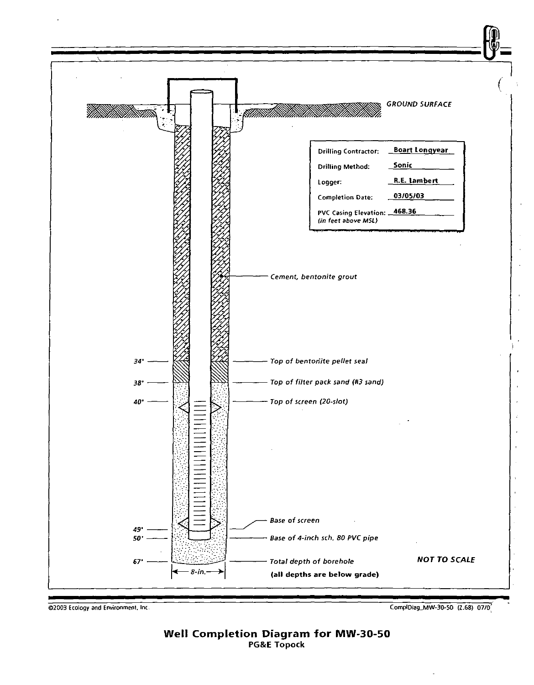

©2003 Ecology and Environmenl, Inc.

CompIOiag\_MW-3O-S0 (Z.GS) *0.7/0.:*